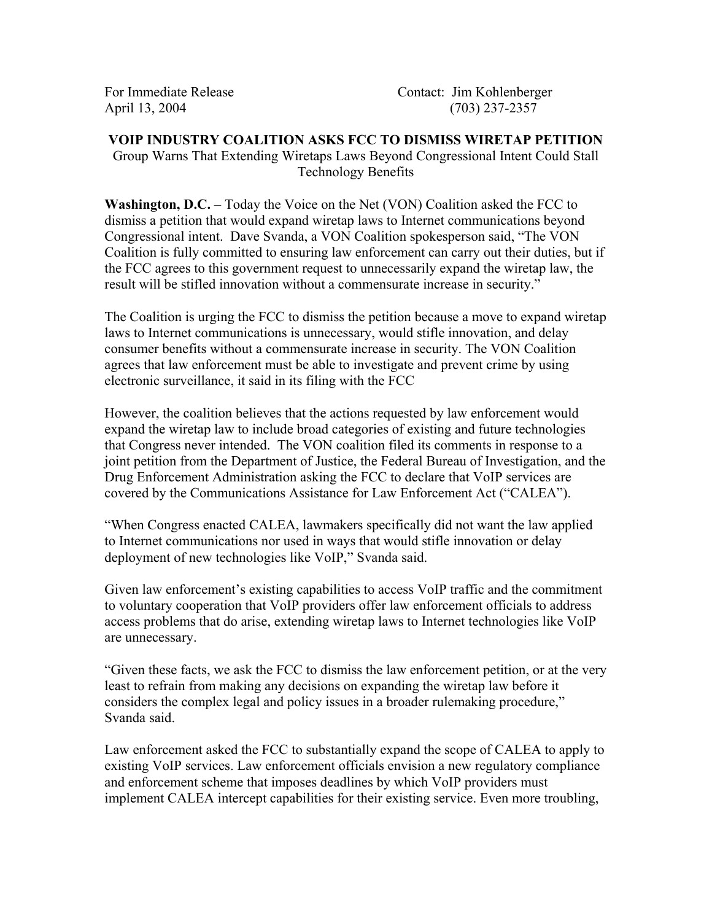## **VOIP INDUSTRY COALITION ASKS FCC TO DISMISS WIRETAP PETITION**  Group Warns That Extending Wiretaps Laws Beyond Congressional Intent Could Stall Technology Benefits

**Washington, D.C.** – Today the Voice on the Net (VON) Coalition asked the FCC to dismiss a petition that would expand wiretap laws to Internet communications beyond Congressional intent. Dave Svanda, a VON Coalition spokesperson said, "The VON Coalition is fully committed to ensuring law enforcement can carry out their duties, but if the FCC agrees to this government request to unnecessarily expand the wiretap law, the result will be stifled innovation without a commensurate increase in security."

The Coalition is urging the FCC to dismiss the petition because a move to expand wiretap laws to Internet communications is unnecessary, would stifle innovation, and delay consumer benefits without a commensurate increase in security. The VON Coalition agrees that law enforcement must be able to investigate and prevent crime by using electronic surveillance, it said in its filing with the FCC

However, the coalition believes that the actions requested by law enforcement would expand the wiretap law to include broad categories of existing and future technologies that Congress never intended. The VON coalition filed its comments in response to a joint petition from the Department of Justice, the Federal Bureau of Investigation, and the Drug Enforcement Administration asking the FCC to declare that VoIP services are covered by the Communications Assistance for Law Enforcement Act ("CALEA").

"When Congress enacted CALEA, lawmakers specifically did not want the law applied to Internet communications nor used in ways that would stifle innovation or delay deployment of new technologies like VoIP," Svanda said.

Given law enforcement's existing capabilities to access VoIP traffic and the commitment to voluntary cooperation that VoIP providers offer law enforcement officials to address access problems that do arise, extending wiretap laws to Internet technologies like VoIP are unnecessary.

"Given these facts, we ask the FCC to dismiss the law enforcement petition, or at the very least to refrain from making any decisions on expanding the wiretap law before it considers the complex legal and policy issues in a broader rulemaking procedure," Svanda said.

Law enforcement asked the FCC to substantially expand the scope of CALEA to apply to existing VoIP services. Law enforcement officials envision a new regulatory compliance and enforcement scheme that imposes deadlines by which VoIP providers must implement CALEA intercept capabilities for their existing service. Even more troubling,